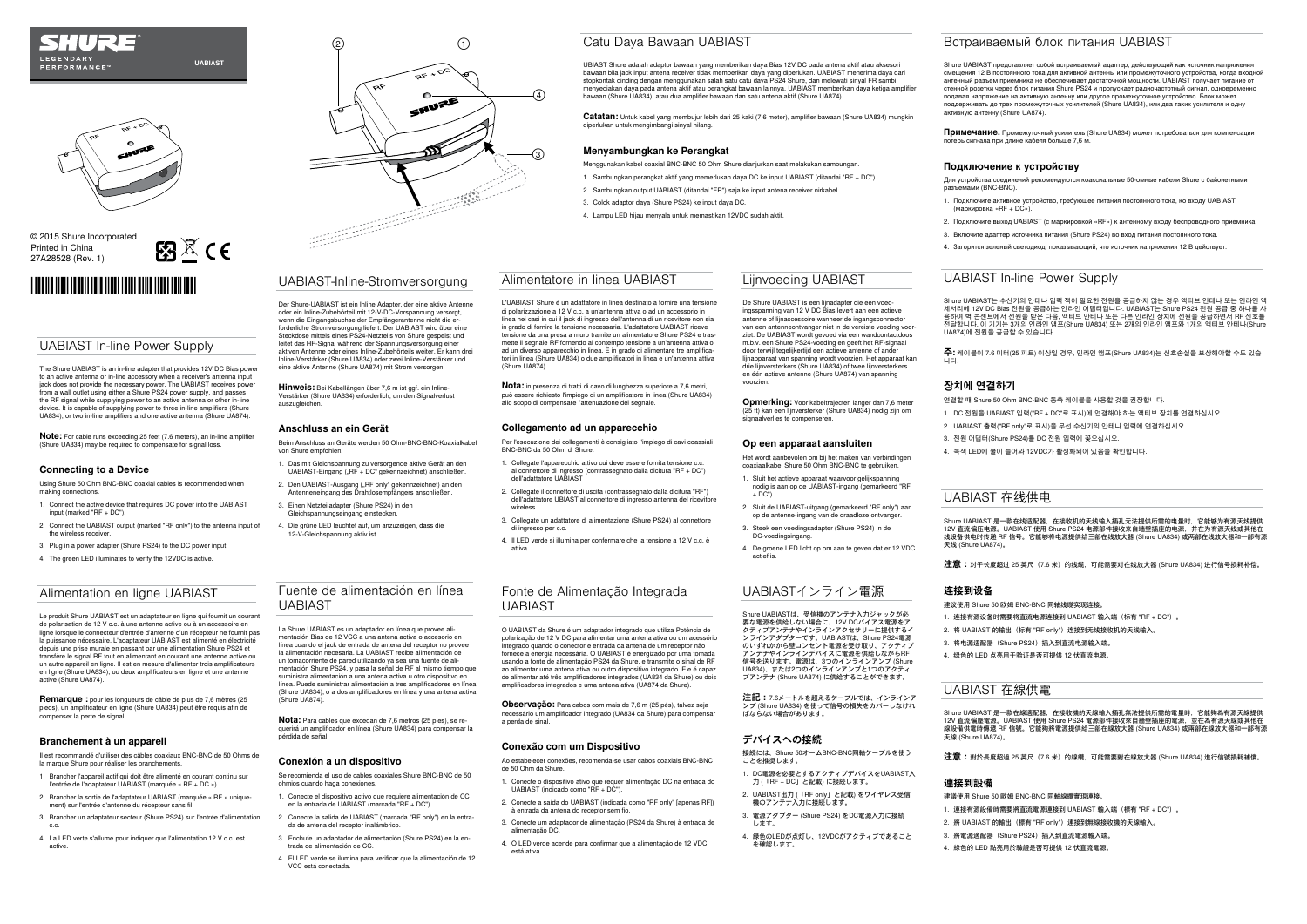## UABIAST In-line Power Supply

The Shure UABIAST is an in-line adapter that provides 12V DC Bias power to an active antenna or in-line accessory when a receiver's antenna input jack does not provide the necessary power. The UABIAST receives power from a wall outlet using either a Shure PS24 power supply, and passes the RF signal while supplying power to an active antenna or other in-line device. It is capable of supplying power to three in-line amplifiers (Shure UA834), or two in-line amplifiers and one active antenna (Shure UA874).

**Note:** For cable runs exceeding 25 feet (7.6 meters), an in-line amplifier (Shure UA834) may be required to compensate for signal loss

### **Connecting to a Device**

Using Shure 50 Ohm BNC-BNC coaxial cables is recommended when making connections.

- 1. Connect the active device that requires DC power into the UABIAST input (marked "RF + DC").
- 2. Connect the UABIAST output (marked "RF only") to the antenna input of the wireless receiver.
- 3. Plug in a power adapter (Shure PS24) to the DC power input.
- 4. The green LED illuminates to verify the 12VDC is active.



## © 2015 Shure Incorporated Printed in China 27A28528 (Rev. 1)

# 

## LEGENDARY **PERFORMANCE**

**UABIAST**

图图 $C \in$ 

## UABIAST-Inline-Stromversorgung

Der Shure-UABIAST ist ein Inline Adapter, der eine aktive Antenne oder ein Inline-Zubehörteil mit 12-V-DC-Vorspannung versorgt, wenn die Eingangsbuchse der Empfängerantenne nicht die erforderliche Stromversorgung liefert. Der UABIAST wird über eine Steckdose mittels eines PS24-Netzteils von Shure gespeist und leitet das HF-Signal während der Spannungsversorgung einer aktiven Antenne oder eines Inline-Zubehörteils weiter. Er kann drei Inline-Verstärker (Shure UA834) oder zwei Inline-Verstärker und eine aktive Antenne (Shure UA874) mit Strom versorgen.

**Hinweis:** Bei Kabellängen über 7,6 m ist ggf. ein Inline-Verstärker (Shure UA834) erforderlich, um den Signalverlust auszugleichen.

### **Anschluss an ein Gerät**

Beim Anschluss an Geräte werden 50 Ohm-BNC-BNC-Koaxialkabel von Shure empfohlen.

- 1. Das mit Gleichspannung zu versorgende aktive Gerät an den UABIAST-Eingang ("RF + DC" gekennzeichnet) anschließen.
- 2. Den UABIAST-Ausgang ("RF only" gekennzeichnet) an den Antenneneingang des Drahtlosempfängers anschließen.
- 3. Einen Netzteiladapter (Shure PS24) in den Gleichspannungseingang einstecker
- 4. Die grüne LED leuchtet auf, um anzuzeigen, dass die 12-V-Gleichspannung aktiv ist.

## Fuente de alimentación en línea UABIAST

La Shure UABIAST es un adaptador en línea que provee alimentación Bias de 12 VCC a una antena activa o accesorio en línea cuando el jack de entrada de antena del receptor no provee la alimentación necesaria. La UABIAST recibe alimentación de un tomacorriente de pared utilizando ya sea una fuente de alimentación Shure PS24, y pasa la señal de RF al mismo tiempo que suministra alimentación a una antena activa u otro dispositivo en línea. Puede suministrar alimentación a tres amplificadores en línea (Shure UA834), o a dos amplificadores en línea y una antena activa (Shure UA874).

**Nota:** Para cables que excedan de 7,6 metros (25 pies), se requerirá un amplificador en línea (Shure UA834) para compensar la pérdida de señal.

### **Conexión a un dispositivo**

Se recomienda el uso de cables coaxiales Shure BNC-BNC de 50 ohmios cuando haga conexiones.

- 1. Conecte el dispositivo activo que requiere alimentación de CC en la entrada de UABIAST (marcada "RF + DC").
- 2. Conecte la salida de UABIAST (marcada "RF only") en la entrada de antena del receptor inalámbrico.
- 3. Enchufe un adaptador de alimentación (Shure PS24) en la entrada de alimentación de CC.
- 4. El LED verde se ilumina para verificar que la alimentación de 12 VCC está conectada.

## Alimentatore in linea UABIAST

L'UABIAST Shure è un adattatore in linea destinato a fornire una tensione di polarizzazione a 12 V c.c. a un'antenna attiva o ad un accessorio in linea nei casi in cui il jack di ingresso dell'antenna di un ricevitore non sia in grado di fornire la tensione necessaria. L'adattatore UABIAST riceve tensione da una presa a muro tramite un alimentatore Shure PS24 e trasmette il segnale RF fornendo al contempo tensione a un'antenna attiva o ad un diverso apparecchio in linea. È in grado di alimentare tre amplificatori in linea (Shure UA834) o due amplificatori in linea e un'antenna attiva (Shure UA874).

**Nota:** in presenza di tratti di cavo di lunghezza superiore a 7,6 metri, può essere richiesto l'impiego di un amplificatore in linea (Shure UA834) allo scopo di compensare l'attenuazione del segnale.

### **Collegamento ad un apparecchio**

Per l'esecuzione dei collegamenti è consigliato l'impiego di cavi coassiali BNC-BNC da 50 Ohm di Shure.

**Opmerking:** Voor kabeltrajecten langer dan 7,6 meter (25 ft) kan een lijnversterker (Shure UA834) nodig zijn om signaalverlies te compenseren.

- 1. Collegate l'apparecchio attivo cui deve essere fornita tensione c.c. al connettore di ingresso (contrassegnato dalla dicitura "RF + DC") dell'adattatore UABIAST
- 2. Collegate il connettore di uscita (contrassegnato dalla dicitura "RF") dell'adattatore UBIAST al connettore di ingresso antenna del ricevitore wireless.
- 3. Collegate un adattatore di alimentazione (Shure PS24) al connettore di ingresso per c.c.
- 4. Il LED verde si illumina per confermare che la tensione a 12 V c.c. è attiva.

Shure UABIASTは、受信機のアンテナ入力ジャックが必 要な電源を供給しない場合に、12V DCバイアス電源をア クティブアンテナやインラインアクセサリーに提供するイ ンラインアダプターです。UABIASTは、Shure PS24電源 のいずれかから壁コンセント電源を受け取り、アクティブ アンテナやインラインデバイスに電源を供給しながらRF 信号を送ります。電源は、3つのインラインアンプ (Shure UA834)、または2つのインラインアンプと1つのアクティ ブアンテナ (Shure UA874) に供給することができます。

## Fonte de Alimentação Integrada UABIAST

Shure UABIAST는 수신기의 안테나 입력 잭이 필요한 전원을 공급하지 않는 경우 액티브 안테나 또는 인라인 액 세서리에 12V DC Bias 선원을 공급하는 인라인 어냅터입니다. UABIAST는 Shure PS24 선원 공급 중 하나를 사<br>용하여 벽 콘센트에서 전원을 받은 다음, 액티브 안테나 또는 다른 인라인 장치에 전원을 공급하면서 RF 신호를 전달합니다. 이 기기는 3개의 인라인 앰프(Shure UA834) 또는 2개의 인라인 앰프와 1개의 액티브 안테나(Shure -<br>UA874)에 전원을 공급할 수 있습니다.

O UABIAST da Shure é um adaptador integrado que utiliza Potência de polarização de 12 V DC para alimentar uma antena ativa ou um acessório integrado quando o conector e entrada da antena de um receptor não fornece a energia necessária. O UABIAST é energizado por uma tomada usando a fonte de alimentação PS24 da Shure, e transmite o sinal de RF ao alimentar uma antena ativa ou outro dispositivo integrado. Ele é capaz de alimentar até três amplificadores integrados (UA834 da Shure) ou dois amplificadores integrados e uma antena ativa (UA874 da Shure).

**Observação:** Para cabos com mais de 7,6 m (25 pés), talvez seja necessário um amplificador integrado (UA834 da Shure) para compensar a perda de sinal.

### **Conexão com um Dispositivo**

Ao estabelecer conexões, recomenda-se usar cabos coaxiais BNC-BNC de 50 Ohm da Shure.

**Remarque :** pour les longueurs de câble de plus de 7,6 mètres (25 pieds), un amplificateur en ligne (Shure UA834) peut être requis afin de compenser la perte de signal.

- 1. Conecte o dispositivo ativo que requer alimentação DC na entrada do UABIAST (indicado como "RF + DC").
- 2. Conecte a saída do UABIAST (indicada como "RF only" [apenas RF]) à entrada da antena do receptor sem fio.
- 3. Conecte um adaptador de alimentação (PS24 da Shure) à entrada de alimentação DC.
- 4. O LED verde acende para confirmar que a alimentação de 12 VDC está ativa.

Il est recommandé d'utiliser des câbles coaxiaux BNC-BNC de 50 Ohms de la marque Shure pour réaliser les branchement

## Catu Daya Bawaan UABIAST

UBIAST Shure adalah adaptor bawaan yang memberikan daya Bias 12V DC pada antena aktif atau aksesori bawaan bila jack input antena receiver tidak memberikan daya yang diperlukan. UABIAST menerima daya dari stopkontak dinding dengan menggunakan salah satu catu daya PS24 Shure, dan melewati sinyal FR sambil menyediakan daya pada antena aktif atau perangkat bawaan lainnya. UABIAST memberikan daya ketiga amplifier bawaan (Shure UA834), atau dua amplifier bawaan dan satu antena aktif (Shure UA874).

**Catatan:** Untuk kabel yang membujur lebih dari 25 kaki (7,6 meter), amplifier bawaan (Shure UA834) mungkin diperlukan untuk mengimbangi sinyal hilang.

### **Menyambungkan ke Perangkat**

- Menggunakan kabel coaxial BNC-BNC 50 Ohm Shure dianjurkan saat melakukan sambungan.
- 1. Sambungkan perangkat aktif yang memerlukan daya DC ke input UABIAST (ditandai "RF + DC").
- 2. Sambungkan output UABIAST (ditandai "FR") saja ke input antena receiver nirkabel.
- 3. Colok adaptor daya (Shure PS24) ke input daya DC.
- 4. Lampu LED hijau menyala untuk memastikan 12VDC sudah aktif.

## Встраиваемый блок питания UABIAST

Shure UABIAST представляет собой встраиваемый адаптер, действующий как источник напряжения смещения 12 В постоянного тока для активной антенны или промежуточного устройства, когда входной антенный разъем приемника не обеспечивает достаточной мощности. UABIAST получает питание от спотным развештризнимать эвзень инвал двогате июм медивети в лежно там, частника.<br>Стенной розетки через блок питания Shure PS24 и пропускает радиочастотный сигнал, одновре подавая напряжение на активную антенну или другое промежуточное устройство. Блок может поддерживать до трех промежуточных усилителей (Shure UA834), или два таких усилителя и одну активную антенну (Shure UA874).

**Примечание.** Промежуточный усилитель (Shure UA834) может потребоваться для компенсации потерь сигнала при длине кабеля больше 7,6 м.

### **Подключение к устройству**

Для устройства соединений рекомендуются коаксиальные 50-омные кабели Shure с байонетными разъемами (BNC-BNC).

1. Подключите активное устройство, требующее питания постоянного тока, ко входу UABIAST (маркировка «RF + DC»).

2. Подключите выход UABIAST (с маркировкой «RF») к антенному входу беспроводного приемника.

3. Включите адаптер источника питания (Shure PS24) во вход питания постоянного тока.

4. Загорится зеленый светодиод, показывающий, что источник напряжения 12 В действует.

## Lijnvoeding UABIAST

De Shure UABIAST is een lijnadapter die een voedingsspanning van 12 V DC Bias levert aan een actieve antenne of lijnaccessoire wanneer de ingangsconnector van een antenneontvanger niet in de vereiste voeding voorziet. De UABIAST wordt gevoed via een wandcontactdoos m.b.v. een Shure PS24-voeding en geeft het RF-signaal door terwijl tegelijkertijd een actieve antenne of ander lijnapparaat van spanning wordt voorzien. Het apparaat kan drie lijnversterkers (Shure UA834) of twee lijnversterkers en één actieve antenne (Shure UA874) van spanning voorzien.

### **Op een apparaat aansluiten**

- Het wordt aanbevolen om bij het maken van verbindingen coaxiaalkabel Shure 50 Ohm BNC-BNC te gebruiken.
- 1. Sluit het actieve apparaat waarvoor gelijkspanning nodig is aan op de UABIAST-ingang (gemarkeerd "RF  $+$  DC").
- 2. Sluit de UABIAST-uitgang (gemarkeerd "RF only") aan op de antenne-ingang van de draadloze ontvang
- 3. Steek een voedingsadapter (Shure PS24) in de DC-voedingsingang.
- 4. De groene LED licht op om aan te geven dat er 12 VDC actief is.

## UABIASTインライン電源

**注記:**7.6メートルを超えるケーブルでは、インラインア ンプ (Shure UA834) を使って信号の損失をカバーしなけれ ばならない場合があります。

### **デバイスへの接続**

- 接続には、Shure 50オームBNC-BNC同軸ケーブルを使う ことを推奨します。
- 1. DC電源を必要とするアクティブデバイスをUABIAST入 力 (「RF + DC」と記載) に接続します。
- 2. UABIAST出力 (「RF only」と記載) をワイヤレス受信 機のアンテナ入力に接続します。
- 3. 電源アダプター (Shure PS24) をDC電源入力に接続 します。
- 4. 緑色のLEDが点灯し、12VDCがアクティブであること を確認します。

- 
- 
- 
- 

## UABIAST In-line Power Supply

**주:** 케이블이 7.6 미터(25 피트) 이상일 경우, 인라인 앰프(Shure UA834)는 신호손실을 보상해야할 수도 있습

니다.

## **장치에 연결하기**

연결할 때 Shure 50 Ohm BNC-BNC 동축 케이블을 사용할 것을 권장합니다.

1. DC 전원을 UABIAST 입력("RF + DC"로 표시)에 연결해야 하는 액티브 장치를 연결하십시오.

2. UABIAST 출력("RF only"로 표시)을 무선 수신기의 안테나 입력에 연결하십시오.

3. 전원 어댑터(Shure PS24)를 DC 전원 입력에 꽂으십시오.

4. 녹색 LED에 불이 들어와 12VDC가 활성화되어 있음을 확인합니다.

## UABIAST 在线供电

Shure UABIAST 是一款在线适配器,在接收机的天线输入插孔无法提供所需的电量时,它能够为有源天线提供 12V 直流偏压电源。UABIAST 使用 Shure PS24 电源部件接收来自墙壁插座的电源,并在为有源天线或其他在<br>线设备供电时传递 RF 信号。它能够将电源提供给三部在线放大器 (Shure UA834) 或两部在线放大器和一部有源 天线 (Shure UA874

**注意:**对于长度超过 25 英尺(7.6 米)的线缆,可能需要对在线放大器 (Shure UA834) 进行信号损耗补偿。

### **连接到设备**

建议使用 Shure 50 欧姆 BNC-BNC 同轴线缆实现连接。

1. 连接有源设备时需要将直流电源连接到 UABIAST 输入端(标有 "RF + DC")。

2. 将 UABIAST 的输出(标有 "RF only")连接到无线接收机的天线输入。

3. 将电源适配器 (Shure PS24) 插入到直流电源输入端。

4. 绿色的 LED 点亮用于验证是否可提供 12 伏直流电源。

## Alimentation en ligne UABIAST

Le produit Shure UABIAST est un adaptateur en ligne qui fournit un courant de polarisation de 12 V c.c. à une antenne active ou à un accessoire en ligne lorsque le connecteur d'entrée d'antenne d'un récepteur ne fournit pas la puissance nécessaire. L'adaptateur UABIAST est alimenté en électri depuis une prise murale en passant par une alimentation Shure PS24 et transfère le signal RF tout en alimentant en courant une antenne active ou un autre appareil en ligne. Il est en mesure d'alimenter trois amplificateurs en ligne (Shure UA834), ou deux amplificateurs en ligne et une antenne active (Shure UA874).

### **Branchement à un appareil**

- 1. Brancher l'appareil actif qui doit être alimenté en courant continu sur l'entrée de l'adaptateur UABIAST (marquée « RF + DC »).
- 2. Brancher la sortie de l'adaptateur UABIAST (marquée « RF » uniquement) sur l'entrée d'antenne du récepteur sans fil.
- 3. Brancher un adaptateur secteur (Shure PS24) sur l'entrée d'alimentation c.c.
- 4. La LED verte s'allume pour indiquer que l'alimentation 12 V c.c. est active.

## UABIAST 在線供電

Shure UABIAST 是一款在線適配器,在接收機的天線輸入插孔無法提供所需的電量時,它能夠為有源天線提供 12V 直流偏壓電源。UABIAST 使用 Shure PS24 電源部件接收來自牆壁插座的電源,並在為有源天線或其他在 線設備供電時傳遞 RF 信號。它能夠將電源提供給三部在線放大器 (Shure UA834) 或兩部在線放大器和一部有源 天線 (Shure UA874)。

**注意:**對於長度超過 25 英尺(7.6 米)的線纜,可能需要對在線放大器 (Shure UA834) 進行信號損耗補償。

### **連接到設備**

建議使用 Shure 50 歐姆 BNC-BNC 同軸線纜實現連接。

1. 連接有源設備時需要將直流電源連接到 UABIAST 輸入端(標有 "RF + DC")。

2. 將 UABIAST 的輸出(標有 "RF only")連接到無線接收機的天線輸入。

3. 將電源適配器(Shure PS24)插入到直流電源輸入端。

4. 綠色的 LED 點亮用於驗證是否可提供 12 伏直流電源。